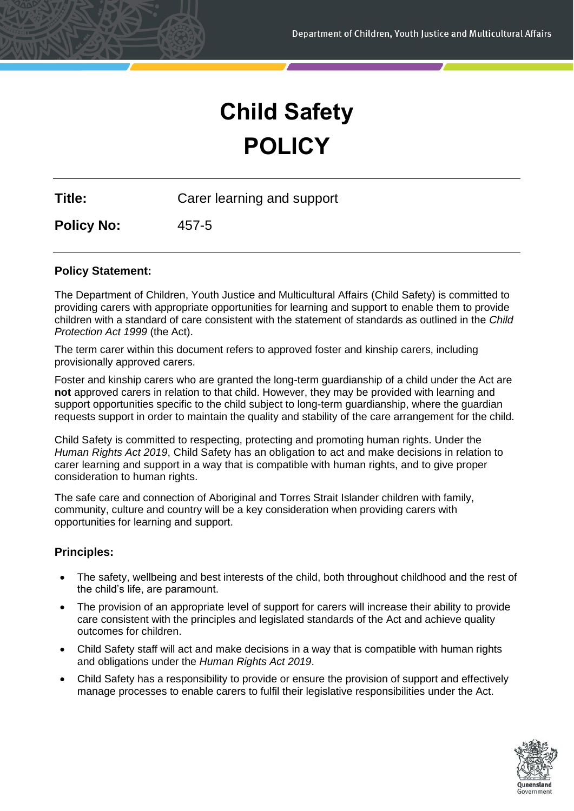# **Child Safety POLICY**

**Title:** Carer learning and support

**Policy No:** 457-5

# **Policy Statement:**

The Department of Children, Youth Justice and Multicultural Affairs (Child Safety) is committed to providing carers with appropriate opportunities for learning and support to enable them to provide children with a standard of care consistent with the statement of standards as outlined in the *Child Protection Act 1999* (the Act).

The term carer within this document refers to approved foster and kinship carers, including provisionally approved carers.

Foster and kinship carers who are granted the long-term guardianship of a child under the Act are **not** approved carers in relation to that child. However, they may be provided with learning and support opportunities specific to the child subject to long-term guardianship, where the guardian requests support in order to maintain the quality and stability of the care arrangement for the child.

Child Safety is committed to respecting, protecting and promoting human rights. Under the *Human Rights Act 2019*, Child Safety has an obligation to act and make decisions in relation to carer learning and support in a way that is compatible with human rights, and to give proper consideration to human rights.

The safe care and connection of Aboriginal and Torres Strait Islander children with family, community, culture and country will be a key consideration when providing carers with opportunities for learning and support.

# **Principles:**

- The safety, wellbeing and best interests of the child, both throughout childhood and the rest of the child's life, are paramount.
- The provision of an appropriate level of support for carers will increase their ability to provide care consistent with the principles and legislated standards of the Act and achieve quality outcomes for children.
- Child Safety staff will act and make decisions in a way that is compatible with human rights and obligations under the *Human Rights Act 2019*.
- Child Safety has a responsibility to provide or ensure the provision of support and effectively manage processes to enable carers to fulfil their legislative responsibilities under the Act.

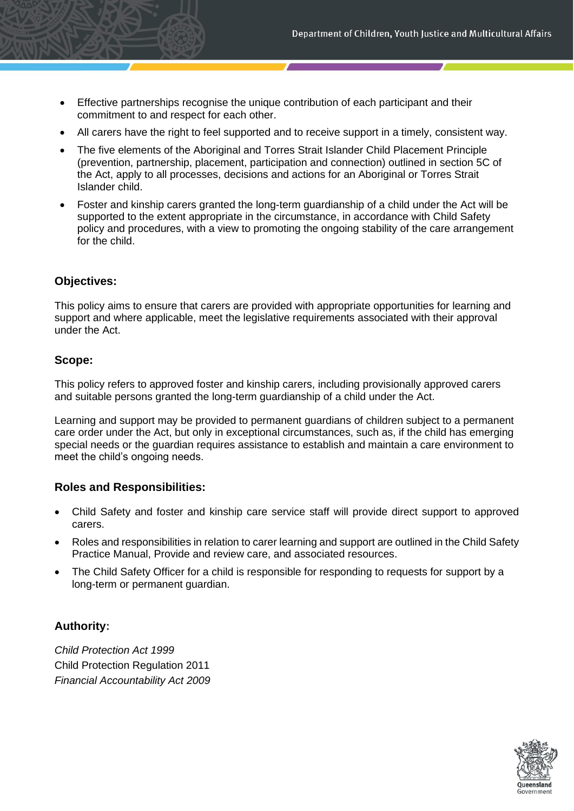- Effective partnerships recognise the unique contribution of each participant and their commitment to and respect for each other.
- All carers have the right to feel supported and to receive support in a timely, consistent way.
- The five elements of the Aboriginal and Torres Strait Islander Child Placement Principle (prevention, partnership, placement, participation and connection) outlined in section 5C of the Act, apply to all processes, decisions and actions for an Aboriginal or Torres Strait Islander child.
- Foster and kinship carers granted the long-term guardianship of a child under the Act will be supported to the extent appropriate in the circumstance, in accordance with Child Safety policy and procedures, with a view to promoting the ongoing stability of the care arrangement for the child.

## **Objectives:**

This policy aims to ensure that carers are provided with appropriate opportunities for learning and support and where applicable, meet the legislative requirements associated with their approval under the Act.

## **Scope:**

This policy refers to approved foster and kinship carers, including provisionally approved carers and suitable persons granted the long-term guardianship of a child under the Act.

Learning and support may be provided to permanent guardians of children subject to a permanent care order under the Act, but only in exceptional circumstances, such as, if the child has emerging special needs or the guardian requires assistance to establish and maintain a care environment to meet the child's ongoing needs.

## **Roles and Responsibilities:**

- Child Safety and foster and kinship care service staff will provide direct support to approved carers.
- Roles and responsibilities in relation to carer learning and support are outlined in the Child Safety Practice Manual, Provide and review care, and associated resources.
- The Child Safety Officer for a child is responsible for responding to requests for support by a long-term or permanent guardian.

# **Authority:**

*Child Protection Act 1999* Child Protection Regulation 2011 *Financial Accountability Act 2009* 

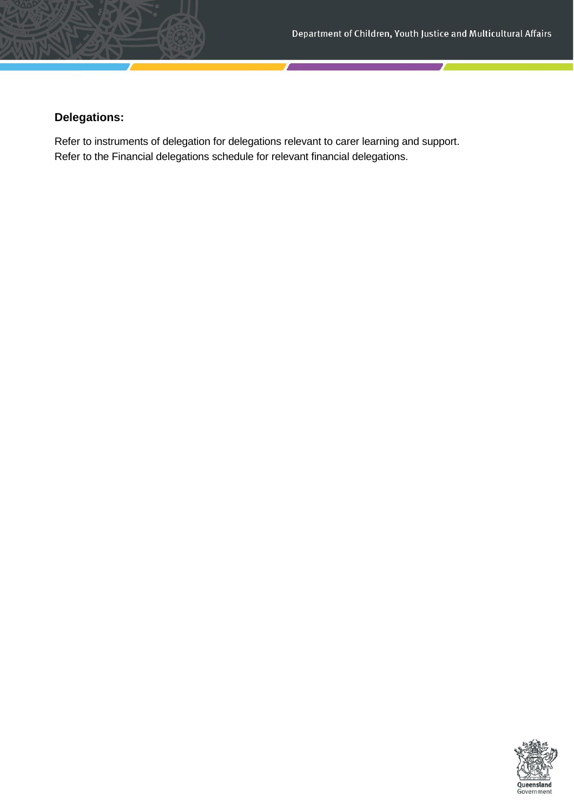# **Delegations:**

Refer to instruments of delegation for delegations relevant to carer learning and support. Refer to the Financial delegations schedule for relevant financial delegations.

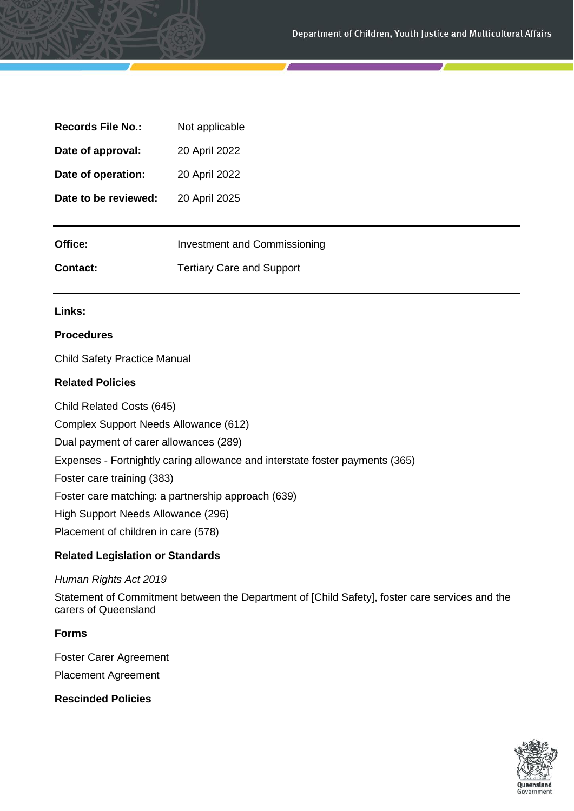| <b>Records File No.:</b> | Not applicable                      |
|--------------------------|-------------------------------------|
| Date of approval:        | 20 April 2022                       |
| Date of operation:       | 20 April 2022                       |
| Date to be reviewed:     | 20 April 2025                       |
|                          |                                     |
| Office:                  | <b>Investment and Commissioning</b> |
| <b>Contact:</b>          | <b>Tertiary Care and Support</b>    |
|                          |                                     |

# **Links:**

#### **Procedures**

Child Safety Practice Manual

#### **Related Policies**

Child Related Costs (645)

Complex Support Needs Allowance (612)

Dual payment of carer allowances (289)

Expenses - Fortnightly caring allowance and interstate foster payments (365)

Foster care training (383)

Foster care matching: a partnership approach (639)

High Support Needs Allowance (296)

Placement of children in care (578)

# **Related Legislation or Standards**

#### *Human Rights Act 2019*

Statement of Commitment between the Department of [Child Safety], foster care services and the carers of Queensland

# **Forms**

Foster Carer Agreement Placement Agreement

**Rescinded Policies**